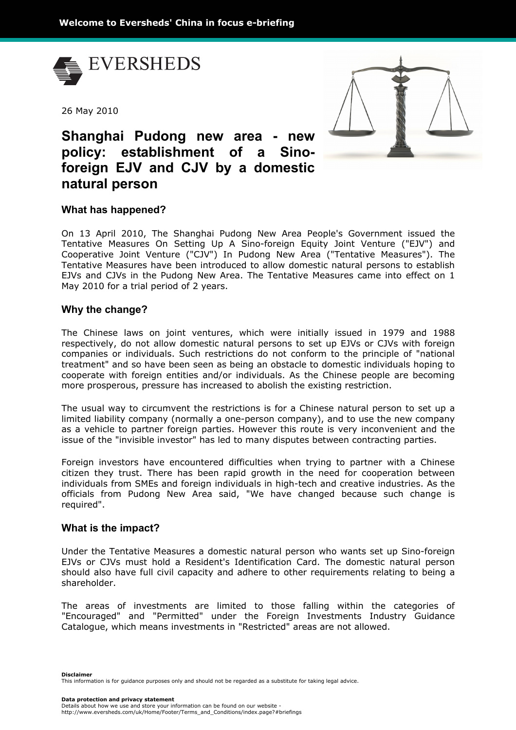

26 May 2010



# **Shanghai Pudong new area - new policy: establishment of a Sinoforeign EJV and CJV by a domestic natural person**

# **What has happened?**

On 13 April 2010, The Shanghai Pudong New Area People's Government issued the Tentative Measures On Setting Up A Sino-foreign Equity Joint Venture ("EJV") and Cooperative Joint Venture ("CJV") In Pudong New Area ("Tentative Measures"). The Tentative Measures have been introduced to allow domestic natural persons to establish EJVs and CJVs in the Pudong New Area. The Tentative Measures came into effect on 1 May 2010 for a trial period of 2 years.

# **Why the change?**

The Chinese laws on joint ventures, which were initially issued in 1979 and 1988 respectively, do not allow domestic natural persons to set up EJVs or CJVs with foreign companies or individuals. Such restrictions do not conform to the principle of "national treatment" and so have been seen as being an obstacle to domestic individuals hoping to cooperate with foreign entities and/or individuals. As the Chinese people are becoming more prosperous, pressure has increased to abolish the existing restriction.

The usual way to circumvent the restrictions is for a Chinese natural person to set up a limited liability company (normally a one-person company), and to use the new company as a vehicle to partner foreign parties. However this route is very inconvenient and the issue of the "invisible investor" has led to many disputes between contracting parties.

Foreign investors have encountered difficulties when trying to partner with a Chinese citizen they trust. There has been rapid growth in the need for cooperation between individuals from SMEs and foreign individuals in high-tech and creative industries. As the officials from Pudong New Area said, "We have changed because such change is required".

## **What is the impact?**

Under the Tentative Measures a domestic natural person who wants set up Sino-foreign EJVs or CJVs must hold a Resident's Identification Card. The domestic natural person should also have full civil capacity and adhere to other requirements relating to being a shareholder.

The areas of investments are limited to those falling within the categories of "Encouraged" and "Permitted" under the Foreign Investments Industry Guidance Catalogue, which means investments in "Restricted" areas are not allowed.

**Disclaimer** This information is for guidance purposes only and should not be regarded as a substitute for taking legal advice.

**Data protection and privacy statement** Details about how we use and store your information can be found on our website http://www.eversheds.com/uk/Home/Footer/Terms\_and\_Conditions/index.page?#briefings